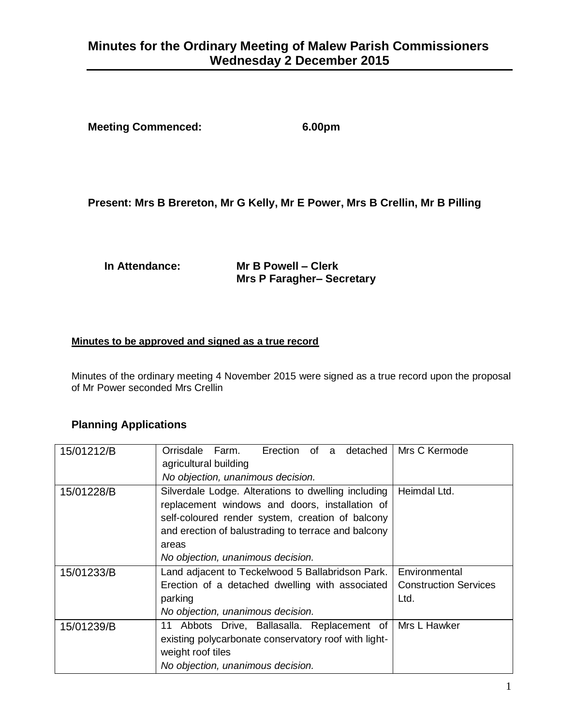# **Minutes for the Ordinary Meeting of Malew Parish Commissioners Wednesday 2 December 2015**

**Meeting Commenced: 6.00pm**

## **Present: Mrs B Brereton, Mr G Kelly, Mr E Power, Mrs B Crellin, Mr B Pilling**

#### **In Attendance: Mr B Powell – Clerk Mrs P Faragher– Secretary**

#### **Minutes to be approved and signed as a true record**

Minutes of the ordinary meeting 4 November 2015 were signed as a true record upon the proposal of Mr Power seconded Mrs Crellin

### **Planning Applications**

| 15/01212/B | Erection of a detached<br>Orrisdale<br>Farm.<br>agricultural building                                                                                     | Mrs C Kermode                |
|------------|-----------------------------------------------------------------------------------------------------------------------------------------------------------|------------------------------|
|            | No objection, unanimous decision.                                                                                                                         |                              |
| 15/01228/B | Silverdale Lodge. Alterations to dwelling including<br>replacement windows and doors, installation of<br>self-coloured render system, creation of balcony | Heimdal Ltd.                 |
|            | and erection of balustrading to terrace and balcony<br>areas                                                                                              |                              |
|            | No objection, unanimous decision.                                                                                                                         |                              |
| 15/01233/B | Land adjacent to Teckelwood 5 Ballabridson Park.                                                                                                          | Environmental                |
|            | Erection of a detached dwelling with associated                                                                                                           | <b>Construction Services</b> |
|            | parking                                                                                                                                                   | Ltd.                         |
|            | No objection, unanimous decision.                                                                                                                         |                              |
| 15/01239/B | 11 Abbots Drive, Ballasalla. Replacement of                                                                                                               | Mrs L Hawker                 |
|            | existing polycarbonate conservatory roof with light-<br>weight roof tiles                                                                                 |                              |
|            |                                                                                                                                                           |                              |
|            | No objection, unanimous decision.                                                                                                                         |                              |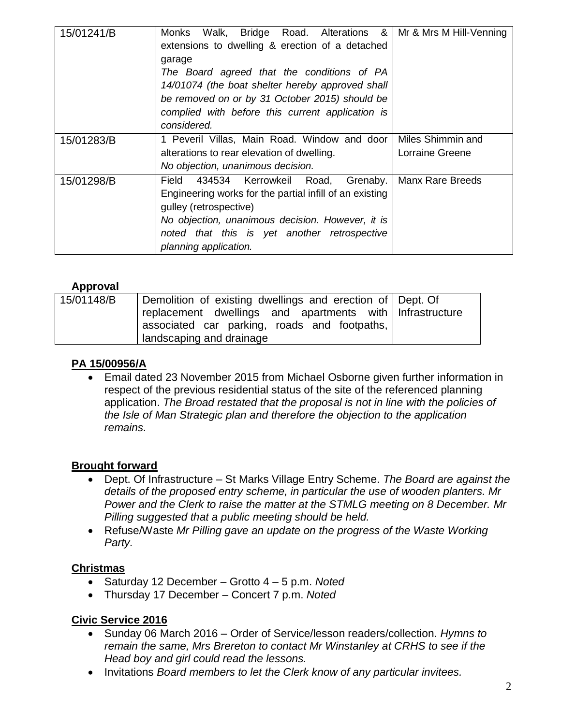| 15/01241/B | Walk, Bridge Road. Alterations &<br>Monks<br>extensions to dwelling & erection of a detached<br>garage<br>The Board agreed that the conditions of PA<br>14/01074 (the boat shelter hereby approved shall<br>be removed on or by 31 October 2015) should be<br>complied with before this current application is<br>considered. | Mr & Mrs M Hill-Venning              |
|------------|-------------------------------------------------------------------------------------------------------------------------------------------------------------------------------------------------------------------------------------------------------------------------------------------------------------------------------|--------------------------------------|
| 15/01283/B | 1 Peveril Villas, Main Road. Window and door<br>alterations to rear elevation of dwelling.<br>No objection, unanimous decision.                                                                                                                                                                                               | Miles Shimmin and<br>Lorraine Greene |
| 15/01298/B | 434534 Kerrowkeil Road, Grenaby.<br>Field<br>Engineering works for the partial infill of an existing<br>gulley (retrospective)<br>No objection, unanimous decision. However, it is<br>noted that this is yet another retrospective<br>planning application.                                                                   | Manx Rare Breeds                     |

## **Approval**

| 15/01148/B | Demolition of existing dwellings and erection of Dept. Of |  |
|------------|-----------------------------------------------------------|--|
|            | replacement dwellings and apartments with Infrastructure  |  |
|            | associated car parking, roads and footpaths,              |  |
|            | landscaping and drainage                                  |  |

### **PA 15/00956/A**

 Email dated 23 November 2015 from Michael Osborne given further information in respect of the previous residential status of the site of the referenced planning application. *The Broad restated that the proposal is not in line with the policies of the Isle of Man Strategic plan and therefore the objection to the application remains.*

### **Brought forward**

- Dept. Of Infrastructure St Marks Village Entry Scheme. *The Board are against the details of the proposed entry scheme, in particular the use of wooden planters. Mr Power and the Clerk to raise the matter at the STMLG meeting on 8 December. Mr Pilling suggested that a public meeting should be held.*
- Refuse/Waste *Mr Pilling gave an update on the progress of the Waste Working Party.*

### **Christmas**

- Saturday 12 December Grotto 4 5 p.m. *Noted*
- Thursday 17 December Concert 7 p.m. *Noted*

### **Civic Service 2016**

- Sunday 06 March 2016 Order of Service/lesson readers/collection. *Hymns to remain the same, Mrs Brereton to contact Mr Winstanley at CRHS to see if the Head boy and girl could read the lessons.*
- **•** Invitations *Board members to let the Clerk know of any particular invitees.*